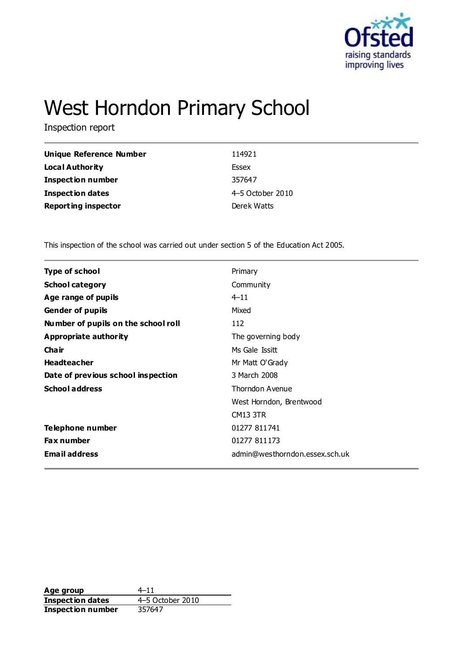

# West Horndon Primary School

Inspection report

| Unique Reference Number    | 114921           |
|----------------------------|------------------|
| Local Authority            | Essex            |
| <b>Inspection number</b>   | 357647           |
| <b>Inspection dates</b>    | 4-5 October 2010 |
| <b>Reporting inspector</b> | Derek Watts      |

This inspection of the school was carried out under section 5 of the Education Act 2005.

| <b>Type of school</b>               | Primary                        |
|-------------------------------------|--------------------------------|
| <b>School category</b>              | Community                      |
| Age range of pupils                 | $4 - 11$                       |
| <b>Gender of pupils</b>             | Mixed                          |
| Number of pupils on the school roll | 112                            |
| Appropriate authority               | The governing body             |
| Cha ir                              | Ms Gale Issitt                 |
| <b>Headteacher</b>                  | Mr Matt O'Grady                |
| Date of previous school inspection  | 3 March 2008                   |
| <b>School address</b>               | Thorndon Avenue                |
|                                     | West Horndon, Brentwood        |
|                                     | <b>CM13 3TR</b>                |
| Telephone number                    | 01277 811741                   |
| <b>Fax number</b>                   | 01277 811173                   |
| <b>Email address</b>                | admin@westhorndon.essex.sch.uk |
|                                     |                                |

**Age group** 4–11<br> **Inspection dates** 4–5 October 2010 **Inspection dates** 4–5 October 4–5 October 2010 **Inspection number**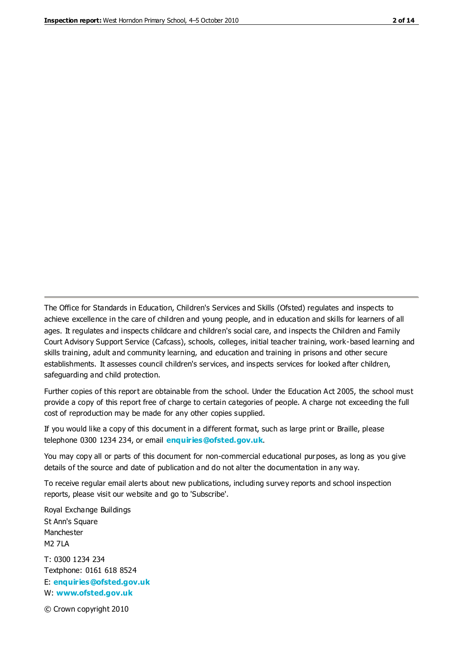The Office for Standards in Education, Children's Services and Skills (Ofsted) regulates and inspects to achieve excellence in the care of children and young people, and in education and skills for learners of all ages. It regulates and inspects childcare and children's social care, and inspects the Children and Family Court Advisory Support Service (Cafcass), schools, colleges, initial teacher training, work-based learning and skills training, adult and community learning, and education and training in prisons and other secure establishments. It assesses council children's services, and inspects services for looked after children, safeguarding and child protection.

Further copies of this report are obtainable from the school. Under the Education Act 2005, the school must provide a copy of this report free of charge to certain categories of people. A charge not exceeding the full cost of reproduction may be made for any other copies supplied.

If you would like a copy of this document in a different format, such as large print or Braille, please telephone 0300 1234 234, or email **[enquiries@ofsted.gov.uk](mailto:enquiries@ofsted.gov.uk)**.

You may copy all or parts of this document for non-commercial educational purposes, as long as you give details of the source and date of publication and do not alter the documentation in any way.

To receive regular email alerts about new publications, including survey reports and school inspection reports, please visit our website and go to 'Subscribe'.

Royal Exchange Buildings St Ann's Square Manchester M2 7LA T: 0300 1234 234 Textphone: 0161 618 8524 E: **[enquiries@ofsted.gov.uk](mailto:enquiries@ofsted.gov.uk)** W: **[www.ofsted.gov.uk](http://www.ofsted.gov.uk/)**

© Crown copyright 2010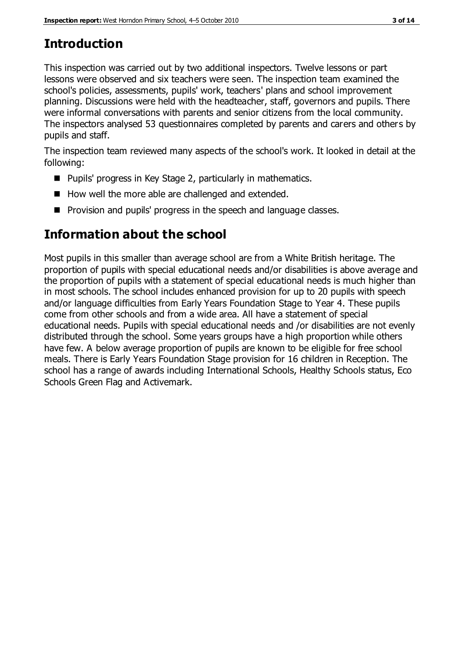# **Introduction**

This inspection was carried out by two additional inspectors. Twelve lessons or part lessons were observed and six teachers were seen. The inspection team examined the school's policies, assessments, pupils' work, teachers' plans and school improvement planning. Discussions were held with the headteacher, staff, governors and pupils. There were informal conversations with parents and senior citizens from the local community. The inspectors analysed 53 questionnaires completed by parents and carers and others by pupils and staff.

The inspection team reviewed many aspects of the school's work. It looked in detail at the following:

- Pupils' progress in Key Stage 2, particularly in mathematics.
- How well the more able are challenged and extended.
- **Provision and pupils' progress in the speech and language classes.**

# **Information about the school**

Most pupils in this smaller than average school are from a White British heritage. The proportion of pupils with special educational needs and/or disabilities is above average and the proportion of pupils with a statement of special educational needs is much higher than in most schools. The school includes enhanced provision for up to 20 pupils with speech and/or language difficulties from Early Years Foundation Stage to Year 4. These pupils come from other schools and from a wide area. All have a statement of special educational needs. Pupils with special educational needs and /or disabilities are not evenly distributed through the school. Some years groups have a high proportion while others have few. A below average proportion of pupils are known to be eligible for free school meals. There is Early Years Foundation Stage provision for 16 children in Reception. The school has a range of awards including International Schools, Healthy Schools status, Eco Schools Green Flag and Activemark.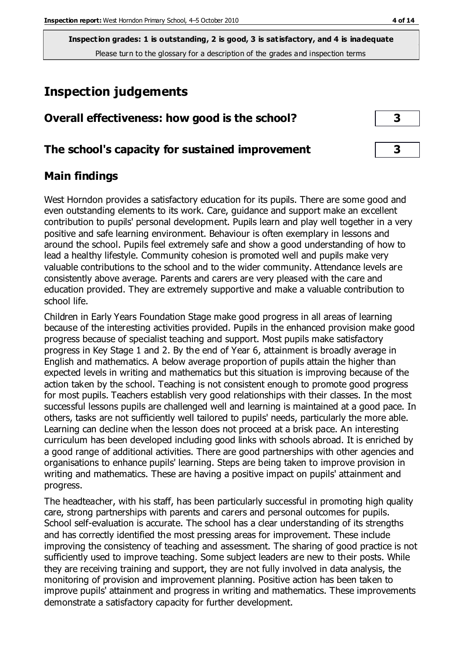# **Inspection judgements**

| Overall effectiveness: how good is the school? |  |
|------------------------------------------------|--|
|------------------------------------------------|--|

# **The school's capacity for sustained improvement 3**

# **Main findings**

West Horndon provides a satisfactory education for its pupils. There are some good and even outstanding elements to its work. Care, guidance and support make an excellent contribution to pupils' personal development. Pupils learn and play well together in a very positive and safe learning environment. Behaviour is often exemplary in lessons and around the school. Pupils feel extremely safe and show a good understanding of how to lead a healthy lifestyle. Community cohesion is promoted well and pupils make very valuable contributions to the school and to the wider community. Attendance levels are consistently above average. Parents and carers are very pleased with the care and education provided. They are extremely supportive and make a valuable contribution to school life.

Children in Early Years Foundation Stage make good progress in all areas of learning because of the interesting activities provided. Pupils in the enhanced provision make good progress because of specialist teaching and support. Most pupils make satisfactory progress in Key Stage 1 and 2. By the end of Year 6, attainment is broadly average in English and mathematics. A below average proportion of pupils attain the higher than expected levels in writing and mathematics but this situation is improving because of the action taken by the school. Teaching is not consistent enough to promote good progress for most pupils. Teachers establish very good relationships with their classes. In the most successful lessons pupils are challenged well and learning is maintained at a good pace. In others, tasks are not sufficiently well tailored to pupils' needs, particularly the more able. Learning can decline when the lesson does not proceed at a brisk pace. An interesting curriculum has been developed including good links with schools abroad. It is enriched by a good range of additional activities. There are good partnerships with other agencies and organisations to enhance pupils' learning. Steps are being taken to improve provision in writing and mathematics. These are having a positive impact on pupils' attainment and progress.

The headteacher, with his staff, has been particularly successful in promoting high quality care, strong partnerships with parents and carers and personal outcomes for pupils. School self-evaluation is accurate. The school has a clear understanding of its strengths and has correctly identified the most pressing areas for improvement. These include improving the consistency of teaching and assessment. The sharing of good practice is not sufficiently used to improve teaching. Some subject leaders are new to their posts. While they are receiving training and support, they are not fully involved in data analysis, the monitoring of provision and improvement planning. Positive action has been taken to improve pupils' attainment and progress in writing and mathematics. These improvements demonstrate a satisfactory capacity for further development.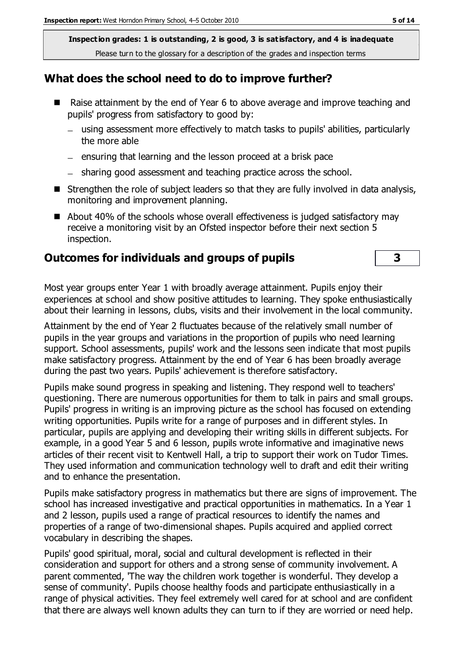### **What does the school need to do to improve further?**

- Raise attainment by the end of Year 6 to above average and improve teaching and pupils' progress from satisfactory to good by:
	- using assessment more effectively to match tasks to pupils' abilities, particularly the more able
	- $=$  ensuring that learning and the lesson proceed at a brisk pace
	- sharing good assessment and teaching practice across the school.
- Strengthen the role of subject leaders so that they are fully involved in data analysis, monitoring and improvement planning.
- About 40% of the schools whose overall effectiveness is judged satisfactory may receive a monitoring visit by an Ofsted inspector before their next section 5 inspection.

### **Outcomes for individuals and groups of pupils 3**

Most year groups enter Year 1 with broadly average attainment. Pupils enjoy their experiences at school and show positive attitudes to learning. They spoke enthusiastically about their learning in lessons, clubs, visits and their involvement in the local community.

Attainment by the end of Year 2 fluctuates because of the relatively small number of pupils in the year groups and variations in the proportion of pupils who need learning support. School assessments, pupils' work and the lessons seen indicate that most pupils make satisfactory progress. Attainment by the end of Year 6 has been broadly average during the past two years. Pupils' achievement is therefore satisfactory.

Pupils make sound progress in speaking and listening. They respond well to teachers' questioning. There are numerous opportunities for them to talk in pairs and small groups. Pupils' progress in writing is an improving picture as the school has focused on extending writing opportunities. Pupils write for a range of purposes and in different styles. In particular, pupils are applying and developing their writing skills in different subjects. For example, in a good Year 5 and 6 lesson, pupils wrote informative and imaginative news articles of their recent visit to Kentwell Hall, a trip to support their work on Tudor Times. They used information and communication technology well to draft and edit their writing and to enhance the presentation.

Pupils make satisfactory progress in mathematics but there are signs of improvement. The school has increased investigative and practical opportunities in mathematics. In a Year 1 and 2 lesson, pupils used a range of practical resources to identify the names and properties of a range of two-dimensional shapes. Pupils acquired and applied correct vocabulary in describing the shapes.

Pupils' good spiritual, moral, social and cultural development is reflected in their consideration and support for others and a strong sense of community involvement. A parent commented, 'The way the children work together is wonderful. They develop a sense of community'. Pupils choose healthy foods and participate enthusiastically in a range of physical activities. They feel extremely well cared for at school and are confident that there are always well known adults they can turn to if they are worried or need help.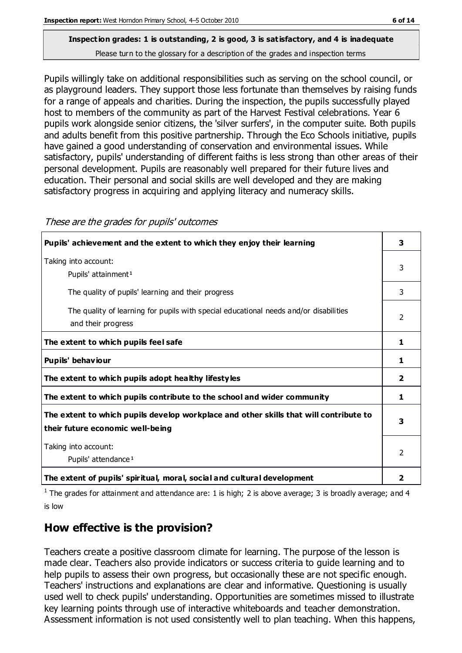Pupils willingly take on additional responsibilities such as serving on the school council, or as playground leaders. They support those less fortunate than themselves by raising funds for a range of appeals and charities. During the inspection, the pupils successfully played host to members of the community as part of the Harvest Festival celebrations. Year 6 pupils work alongside senior citizens, the 'silver surfers', in the computer suite. Both pupils and adults benefit from this positive partnership. Through the Eco Schools initiative, pupils have gained a good understanding of conservation and environmental issues. While satisfactory, pupils' understanding of different faiths is less strong than other areas of their personal development. Pupils are reasonably well prepared for their future lives and education. Their personal and social skills are well developed and they are making satisfactory progress in acquiring and applying literacy and numeracy skills.

| Pupils' achievement and the extent to which they enjoy their learning                                                     | 3                       |
|---------------------------------------------------------------------------------------------------------------------------|-------------------------|
| Taking into account:<br>Pupils' attainment <sup>1</sup>                                                                   | 3                       |
| The quality of pupils' learning and their progress                                                                        | 3                       |
| The quality of learning for pupils with special educational needs and/or disabilities<br>and their progress               | $\mathcal{P}$           |
| The extent to which pupils feel safe                                                                                      | 1                       |
| Pupils' behaviour                                                                                                         | 1                       |
| The extent to which pupils adopt healthy lifestyles                                                                       | $\overline{\mathbf{2}}$ |
| The extent to which pupils contribute to the school and wider community                                                   | 1                       |
| The extent to which pupils develop workplace and other skills that will contribute to<br>their future economic well-being |                         |
| Taking into account:<br>Pupils' attendance <sup>1</sup>                                                                   |                         |
| The extent of pupils' spiritual, moral, social and cultural development                                                   | 2                       |

<sup>1</sup> The grades for attainment and attendance are: 1 is high; 2 is above average; 3 is broadly average; and 4 is low

# **How effective is the provision?**

Teachers create a positive classroom climate for learning. The purpose of the lesson is made clear. Teachers also provide indicators or success criteria to guide learning and to help pupils to assess their own progress, but occasionally these are not specific enough. Teachers' instructions and explanations are clear and informative. Questioning is usually used well to check pupils' understanding. Opportunities are sometimes missed to illustrate key learning points through use of interactive whiteboards and teacher demonstration. Assessment information is not used consistently well to plan teaching. When this happens,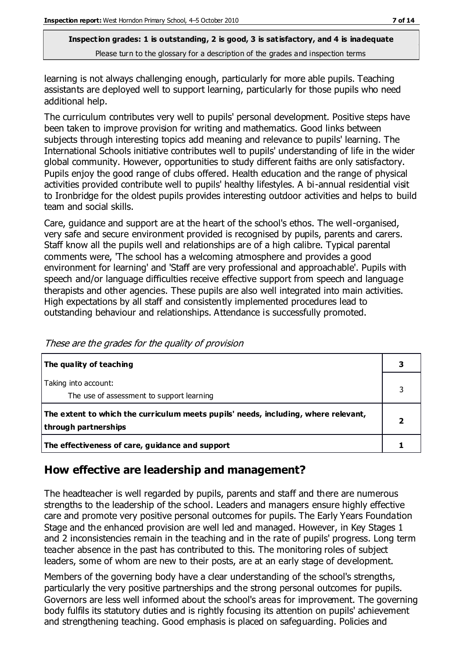learning is not always challenging enough, particularly for more able pupils. Teaching assistants are deployed well to support learning, particularly for those pupils who need additional help.

The curriculum contributes very well to pupils' personal development. Positive steps have been taken to improve provision for writing and mathematics. Good links between subjects through interesting topics add meaning and relevance to pupils' learning. The International Schools initiative contributes well to pupils' understanding of life in the wider global community. However, opportunities to study different faiths are only satisfactory. Pupils enjoy the good range of clubs offered. Health education and the range of physical activities provided contribute well to pupils' healthy lifestyles. A bi-annual residential visit to Ironbridge for the oldest pupils provides interesting outdoor activities and helps to build team and social skills.

Care, guidance and support are at the heart of the school's ethos. The well-organised, very safe and secure environment provided is recognised by pupils, parents and carers. Staff know all the pupils well and relationships are of a high calibre. Typical parental comments were, 'The school has a welcoming atmosphere and provides a good environment for learning' and 'Staff are very professional and approachable'. Pupils with speech and/or language difficulties receive effective support from speech and language therapists and other agencies. These pupils are also well integrated into main activities. High expectations by all staff and consistently implemented procedures lead to outstanding behaviour and relationships. Attendance is successfully promoted.

| The quality of teaching                                                                                    |  |
|------------------------------------------------------------------------------------------------------------|--|
| Taking into account:<br>The use of assessment to support learning                                          |  |
| The extent to which the curriculum meets pupils' needs, including, where relevant,<br>through partnerships |  |
| The effectiveness of care, guidance and support                                                            |  |

These are the grades for the quality of provision

# **How effective are leadership and management?**

The headteacher is well regarded by pupils, parents and staff and there are numerous strengths to the leadership of the school. Leaders and managers ensure highly effective care and promote very positive personal outcomes for pupils. The Early Years Foundation Stage and the enhanced provision are well led and managed. However, in Key Stages 1 and 2 inconsistencies remain in the teaching and in the rate of pupils' progress. Long term teacher absence in the past has contributed to this. The monitoring roles of subject leaders, some of whom are new to their posts, are at an early stage of development.

Members of the governing body have a clear understanding of the school's strengths, particularly the very positive partnerships and the strong personal outcomes for pupils. Governors are less well informed about the school's areas for improvement. The governing body fulfils its statutory duties and is rightly focusing its attention on pupils' achievement and strengthening teaching. Good emphasis is placed on safeguarding. Policies and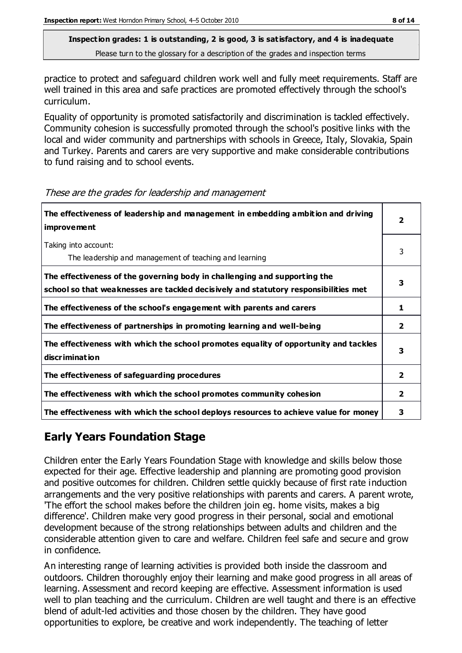practice to protect and safeguard children work well and fully meet requirements. Staff are well trained in this area and safe practices are promoted effectively through the school's curriculum.

Equality of opportunity is promoted satisfactorily and discrimination is tackled effectively. Community cohesion is successfully promoted through the school's positive links with the local and wider community and partnerships with schools in Greece, Italy, Slovakia, Spain and Turkey. Parents and carers are very supportive and make considerable contributions to fund raising and to school events.

| The effectiveness of leadership and management in embedding ambition and driving<br><b>improvement</b>                                                           | $\overline{\mathbf{2}}$ |
|------------------------------------------------------------------------------------------------------------------------------------------------------------------|-------------------------|
| Taking into account:<br>The leadership and management of teaching and learning                                                                                   | 3                       |
| The effectiveness of the governing body in challenging and supporting the<br>school so that weaknesses are tackled decisively and statutory responsibilities met | 3                       |
| The effectiveness of the school's engagement with parents and carers                                                                                             | 1                       |
| The effectiveness of partnerships in promoting learning and well-being                                                                                           | 2                       |
| The effectiveness with which the school promotes equality of opportunity and tackles<br>discrimination                                                           | 3                       |
| The effectiveness of safeguarding procedures                                                                                                                     | $\overline{\mathbf{2}}$ |
| The effectiveness with which the school promotes community cohesion                                                                                              | 2                       |
| The effectiveness with which the school deploys resources to achieve value for money                                                                             | 3                       |

These are the grades for leadership and management

# **Early Years Foundation Stage**

Children enter the Early Years Foundation Stage with knowledge and skills below those expected for their age. Effective leadership and planning are promoting good provision and positive outcomes for children. Children settle quickly because of first rate induction arrangements and the very positive relationships with parents and carers. A parent wrote, 'The effort the school makes before the children join eg. home visits, makes a big difference'. Children make very good progress in their personal, social and emotional development because of the strong relationships between adults and children and the considerable attention given to care and welfare. Children feel safe and secure and grow in confidence.

An interesting range of learning activities is provided both inside the classroom and outdoors. Children thoroughly enjoy their learning and make good progress in all areas of learning. Assessment and record keeping are effective. Assessment information is used well to plan teaching and the curriculum. Children are well taught and there is an effective blend of adult-led activities and those chosen by the children. They have good opportunities to explore, be creative and work independently. The teaching of letter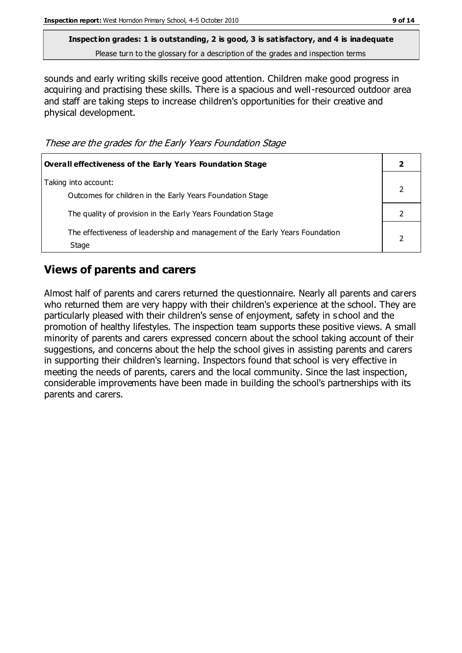sounds and early writing skills receive good attention. Children make good progress in acquiring and practising these skills. There is a spacious and well-resourced outdoor area and staff are taking steps to increase children's opportunities for their creative and physical development.

These are the grades for the Early Years Foundation Stage

| Overall effectiveness of the Early Years Foundation Stage                             |  |
|---------------------------------------------------------------------------------------|--|
| Taking into account:<br>Outcomes for children in the Early Years Foundation Stage     |  |
| The quality of provision in the Early Years Foundation Stage                          |  |
| The effectiveness of leadership and management of the Early Years Foundation<br>Stage |  |

# **Views of parents and carers**

Almost half of parents and carers returned the questionnaire. Nearly all parents and carers who returned them are very happy with their children's experience at the school. They are particularly pleased with their children's sense of enjoyment, safety in s chool and the promotion of healthy lifestyles. The inspection team supports these positive views. A small minority of parents and carers expressed concern about the school taking account of their suggestions, and concerns about the help the school gives in assisting parents and carers in supporting their children's learning. Inspectors found that school is very effective in meeting the needs of parents, carers and the local community. Since the last inspection, considerable improvements have been made in building the school's partnerships with its parents and carers.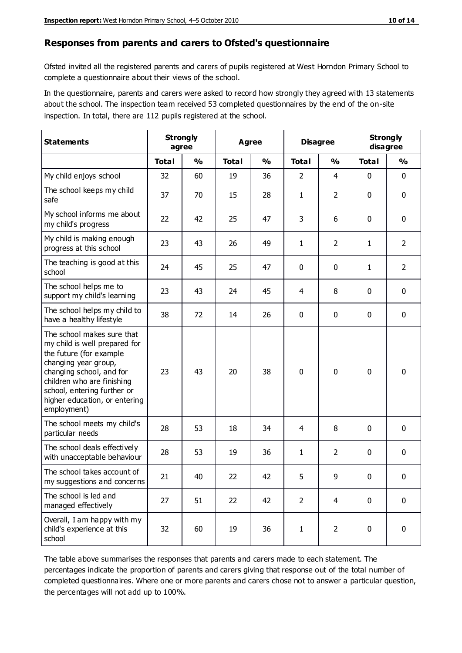#### **Responses from parents and carers to Ofsted's questionnaire**

Ofsted invited all the registered parents and carers of pupils registered at West Horndon Primary School to complete a questionnaire about their views of the school.

In the questionnaire, parents and carers were asked to record how strongly they agreed with 13 statements about the school. The inspection team received 53 completed questionnaires by the end of the on-site inspection. In total, there are 112 pupils registered at the school.

| <b>Statements</b>                                                                                                                                                                                                                                       | <b>Strongly</b><br>agree |               | Agree        |               |                | <b>Disagree</b> |              | <b>Strongly</b><br>disagree |  |
|---------------------------------------------------------------------------------------------------------------------------------------------------------------------------------------------------------------------------------------------------------|--------------------------|---------------|--------------|---------------|----------------|-----------------|--------------|-----------------------------|--|
|                                                                                                                                                                                                                                                         | <b>Total</b>             | $\frac{0}{0}$ | <b>Total</b> | $\frac{0}{0}$ | <b>Total</b>   | $\frac{0}{0}$   | <b>Total</b> | $\frac{0}{0}$               |  |
| My child enjoys school                                                                                                                                                                                                                                  | 32                       | 60            | 19           | 36            | $\overline{2}$ | $\overline{4}$  | 0            | $\mathbf 0$                 |  |
| The school keeps my child<br>safe                                                                                                                                                                                                                       | 37                       | 70            | 15           | 28            | $\mathbf{1}$   | $\overline{2}$  | 0            | $\pmb{0}$                   |  |
| My school informs me about<br>my child's progress                                                                                                                                                                                                       | 22                       | 42            | 25           | 47            | 3              | 6               | $\mathbf{0}$ | $\mathbf 0$                 |  |
| My child is making enough<br>progress at this school                                                                                                                                                                                                    | 23                       | 43            | 26           | 49            | $\mathbf{1}$   | $\overline{2}$  | 1            | $\overline{2}$              |  |
| The teaching is good at this<br>school                                                                                                                                                                                                                  | 24                       | 45            | 25           | 47            | 0              | 0               | 1            | $\overline{2}$              |  |
| The school helps me to<br>support my child's learning                                                                                                                                                                                                   | 23                       | 43            | 24           | 45            | 4              | 8               | $\mathbf 0$  | $\mathbf 0$                 |  |
| The school helps my child to<br>have a healthy lifestyle                                                                                                                                                                                                | 38                       | 72            | 14           | 26            | $\mathbf 0$    | 0               | 0            | $\mathbf 0$                 |  |
| The school makes sure that<br>my child is well prepared for<br>the future (for example<br>changing year group,<br>changing school, and for<br>children who are finishing<br>school, entering further or<br>higher education, or entering<br>employment) | 23                       | 43            | 20           | 38            | 0              | $\mathbf{0}$    | $\mathbf 0$  | $\mathbf 0$                 |  |
| The school meets my child's<br>particular needs                                                                                                                                                                                                         | 28                       | 53            | 18           | 34            | 4              | 8               | $\mathbf{0}$ | $\mathbf 0$                 |  |
| The school deals effectively<br>with unacceptable behaviour                                                                                                                                                                                             | 28                       | 53            | 19           | 36            | $\mathbf{1}$   | $\overline{2}$  | 0            | $\pmb{0}$                   |  |
| The school takes account of<br>my suggestions and concerns                                                                                                                                                                                              | 21                       | 40            | 22           | 42            | 5              | 9               | 0            | 0                           |  |
| The school is led and<br>managed effectively                                                                                                                                                                                                            | 27                       | 51            | 22           | 42            | $\overline{2}$ | $\overline{4}$  | $\mathbf 0$  | $\mathbf 0$                 |  |
| Overall, I am happy with my<br>child's experience at this<br>school                                                                                                                                                                                     | 32                       | 60            | 19           | 36            | $\mathbf{1}$   | $\overline{2}$  | $\mathbf 0$  | $\pmb{0}$                   |  |

The table above summarises the responses that parents and carers made to each statement. The percentages indicate the proportion of parents and carers giving that response out of the total number of completed questionnaires. Where one or more parents and carers chose not to answer a particular question, the percentages will not add up to 100%.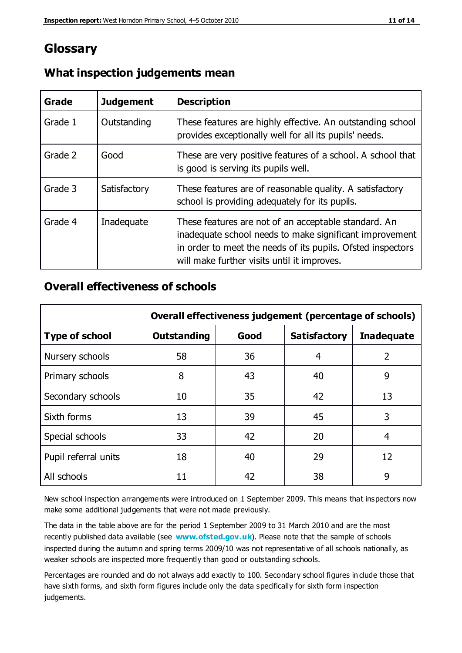# **Glossary**

| Grade   | <b>Judgement</b> | <b>Description</b>                                                                                                                                                                                                            |
|---------|------------------|-------------------------------------------------------------------------------------------------------------------------------------------------------------------------------------------------------------------------------|
| Grade 1 | Outstanding      | These features are highly effective. An outstanding school<br>provides exceptionally well for all its pupils' needs.                                                                                                          |
| Grade 2 | Good             | These are very positive features of a school. A school that<br>is good is serving its pupils well.                                                                                                                            |
| Grade 3 | Satisfactory     | These features are of reasonable quality. A satisfactory<br>school is providing adequately for its pupils.                                                                                                                    |
| Grade 4 | Inadequate       | These features are not of an acceptable standard. An<br>inadequate school needs to make significant improvement<br>in order to meet the needs of its pupils. Ofsted inspectors<br>will make further visits until it improves. |

# **What inspection judgements mean**

# **Overall effectiveness of schools**

|                       | Overall effectiveness judgement (percentage of schools) |      |                     |                   |
|-----------------------|---------------------------------------------------------|------|---------------------|-------------------|
| <b>Type of school</b> | <b>Outstanding</b>                                      | Good | <b>Satisfactory</b> | <b>Inadequate</b> |
| Nursery schools       | 58                                                      | 36   | 4                   | 2                 |
| Primary schools       | 8                                                       | 43   | 40                  | 9                 |
| Secondary schools     | 10                                                      | 35   | 42                  | 13                |
| Sixth forms           | 13                                                      | 39   | 45                  | 3                 |
| Special schools       | 33                                                      | 42   | 20                  | 4                 |
| Pupil referral units  | 18                                                      | 40   | 29                  | 12                |
| All schools           | 11                                                      | 42   | 38                  | 9                 |

New school inspection arrangements were introduced on 1 September 2009. This means that inspectors now make some additional judgements that were not made previously.

The data in the table above are for the period 1 September 2009 to 31 March 2010 and are the most recently published data available (see **[www.ofsted.gov.uk](http://www.ofsted.gov.uk/)**). Please note that the sample of schools inspected during the autumn and spring terms 2009/10 was not representative of all schools nationally, as weaker schools are inspected more frequently than good or outstanding schools.

Percentages are rounded and do not always add exactly to 100. Secondary school figures in clude those that have sixth forms, and sixth form figures include only the data specifically for sixth form inspection judgements.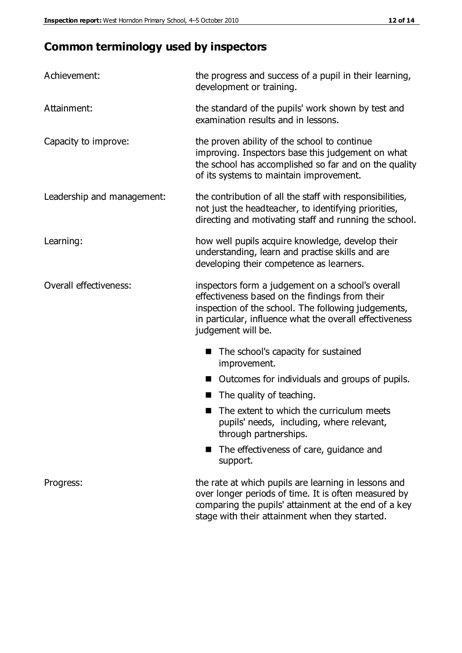# **Common terminology used by inspectors**

| Achievement:               | the progress and success of a pupil in their learning,<br>development or training.                                                                                                                                                          |  |  |
|----------------------------|---------------------------------------------------------------------------------------------------------------------------------------------------------------------------------------------------------------------------------------------|--|--|
| Attainment:                | the standard of the pupils' work shown by test and<br>examination results and in lessons.                                                                                                                                                   |  |  |
| Capacity to improve:       | the proven ability of the school to continue<br>improving. Inspectors base this judgement on what<br>the school has accomplished so far and on the quality<br>of its systems to maintain improvement.                                       |  |  |
| Leadership and management: | the contribution of all the staff with responsibilities,<br>not just the headteacher, to identifying priorities,<br>directing and motivating staff and running the school.                                                                  |  |  |
| Learning:                  | how well pupils acquire knowledge, develop their<br>understanding, learn and practise skills and are<br>developing their competence as learners.                                                                                            |  |  |
| Overall effectiveness:     | inspectors form a judgement on a school's overall<br>effectiveness based on the findings from their<br>inspection of the school. The following judgements,<br>in particular, influence what the overall effectiveness<br>judgement will be. |  |  |
|                            | The school's capacity for sustained<br>improvement.                                                                                                                                                                                         |  |  |
|                            | Outcomes for individuals and groups of pupils.                                                                                                                                                                                              |  |  |
|                            | The quality of teaching.                                                                                                                                                                                                                    |  |  |
|                            | The extent to which the curriculum meets<br>pupils' needs, including, where relevant,<br>through partnerships.                                                                                                                              |  |  |
|                            | The effectiveness of care, guidance and<br>support.                                                                                                                                                                                         |  |  |
| Progress:                  | the rate at which pupils are learning in lessons and<br>over longer periods of time. It is often measured by<br>comparing the pupils' attainment at the end of a key                                                                        |  |  |

stage with their attainment when they started.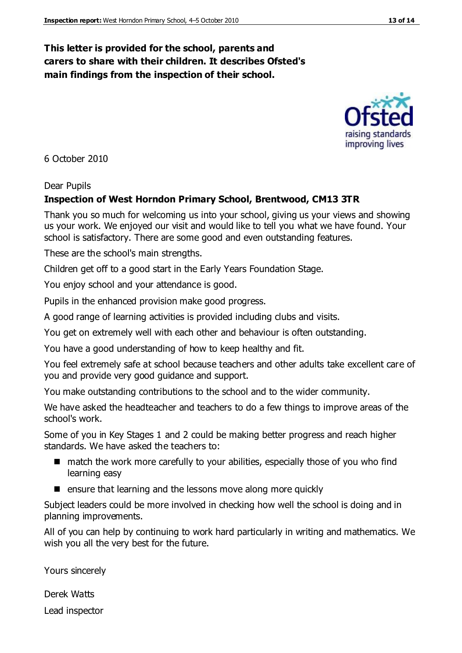### **This letter is provided for the school, parents and carers to share with their children. It describes Ofsted's main findings from the inspection of their school.**

6 October 2010

#### Dear Pupils

#### **Inspection of West Horndon Primary School, Brentwood, CM13 3TR**

Thank you so much for welcoming us into your school, giving us your views and showing us your work. We enjoyed our visit and would like to tell you what we have found. Your school is satisfactory. There are some good and even outstanding features.

These are the school's main strengths.

Children get off to a good start in the Early Years Foundation Stage.

You enjoy school and your attendance is good.

Pupils in the enhanced provision make good progress.

A good range of learning activities is provided including clubs and visits.

You get on extremely well with each other and behaviour is often outstanding.

You have a good understanding of how to keep healthy and fit.

You feel extremely safe at school because teachers and other adults take excellent care of you and provide very good guidance and support.

You make outstanding contributions to the school and to the wider community.

We have asked the headteacher and teachers to do a few things to improve areas of the school's work.

Some of you in Key Stages 1 and 2 could be making better progress and reach higher standards. We have asked the teachers to:

- match the work more carefully to your abilities, especially those of you who find learning easy
- $\blacksquare$  ensure that learning and the lessons move along more quickly

Subject leaders could be more involved in checking how well the school is doing and in planning improvements.

All of you can help by continuing to work hard particularly in writing and mathematics. We wish you all the very best for the future.

Yours sincerely

Derek Watts Lead inspector